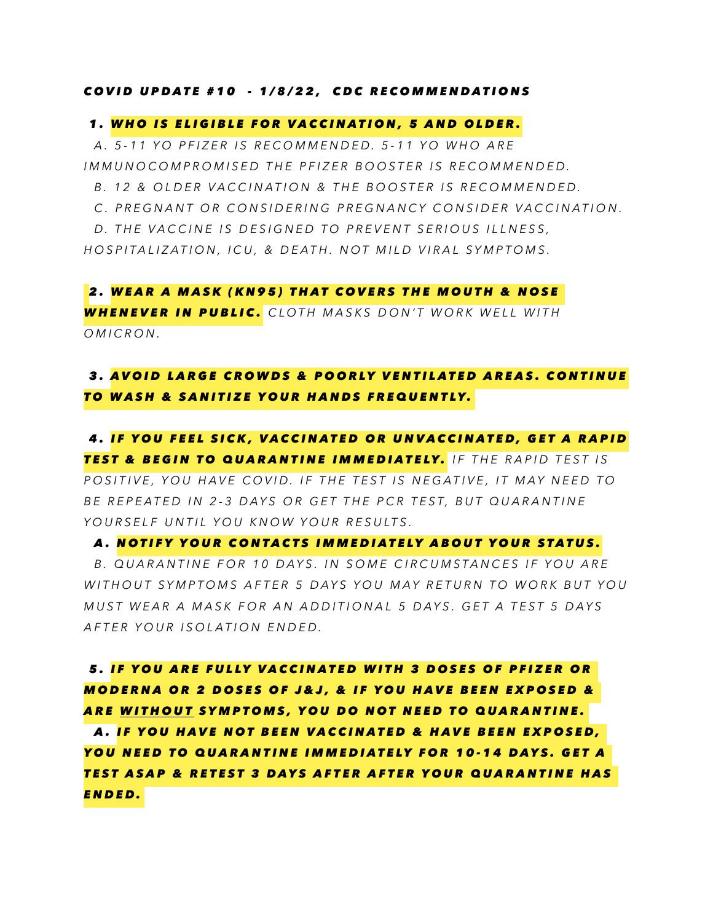#### *COVID UPDATE #10 - 1/8/22, CDC RECOMMENDATIONS*

### *1. WHO IS ELIGIBLE FOR VACCINATION, 5 AND OLDER.*

 *A. 5-11 YO PFIZER IS RECOMMENDED. 5-11 YO WHO ARE IMMUNOCOMPROMISED THE PFIZER BOOSTER IS RECOMMENDED.*

 *B. 12 & OLDER VACCINATION & THE BOOSTER IS RECOMMENDED.*

 *C. PREGNANT OR CONSIDERING PREGNANCY CONSIDER VACCINATION.*

 *D. THE VACCINE IS DESIGNED TO PREVENT SERIOUS ILLNESS,* 

*HOSPITALIZATION, ICU, & DEATH. NOT MILD VIRAL SYMPTOMS.*

*2. WEAR A MASK (KN95) THAT COVERS THE MOUTH & NOSE WHENEVER IN PUBLIC. CLOTH MASKS DON'T WORK WELL WITH OMICRON.*

## *3. AVOID LARGE CROWDS & POORLY VENTILATED AREAS. CONTINUE TO WASH & SANITIZE YOUR HANDS FREQUENTLY.*

 *4. IF YOU FEEL SICK, VACCINATED OR UNVACCINATED, GET A RAPID TEST & BEGIN TO QUARANTINE IMMEDIATELY. IF THE RAPID TEST IS*  POSITIVE, YOU HAVE COVID. IF THE TEST IS NEGATIVE, IT MAY NEED TO *BE REPEATED IN 2-3 DAYS OR GET THE PCR TEST, BUT QUARANTINE YOURSELF UNTIL YOU KNOW YOUR RESULTS.*

#### *A. NOTIFY YOUR CONTACTS IMMEDIATELY ABOUT YOUR STATUS.*

 *B. QUARANTINE FOR 10 DAYS. IN SOME CIRCUMSTANCES IF YOU ARE WITHOUT SYMPTOMS AFTER 5 DAYS YOU MAY RETURN TO WORK BUT YOU MUST WEAR A MASK FOR AN ADDITIONAL 5 DAYS. GET A TEST 5 DAYS AFTER YOUR ISOLATION ENDED.*

 *5. IF YOU ARE FULLY VACCINATED WITH 3 DOSES OF PFIZER OR MODERNA OR 2 DOSES OF J&J, & IF YOU HAVE BEEN EXPOSED & ARE WITHOUT SYMPTOMS, YOU DO NOT NEED TO QUARANTINE. A. IF YOU HAVE NOT BEEN VACCINATED & HAVE BEEN EXPOSED, YOU NEED TO QUARANTINE IMMEDIATELY FOR 10-14 DAYS. GET A TEST ASAP & RETEST 3 DAYS AFTER AFTER YOUR QUARANTINE HAS ENDED.*